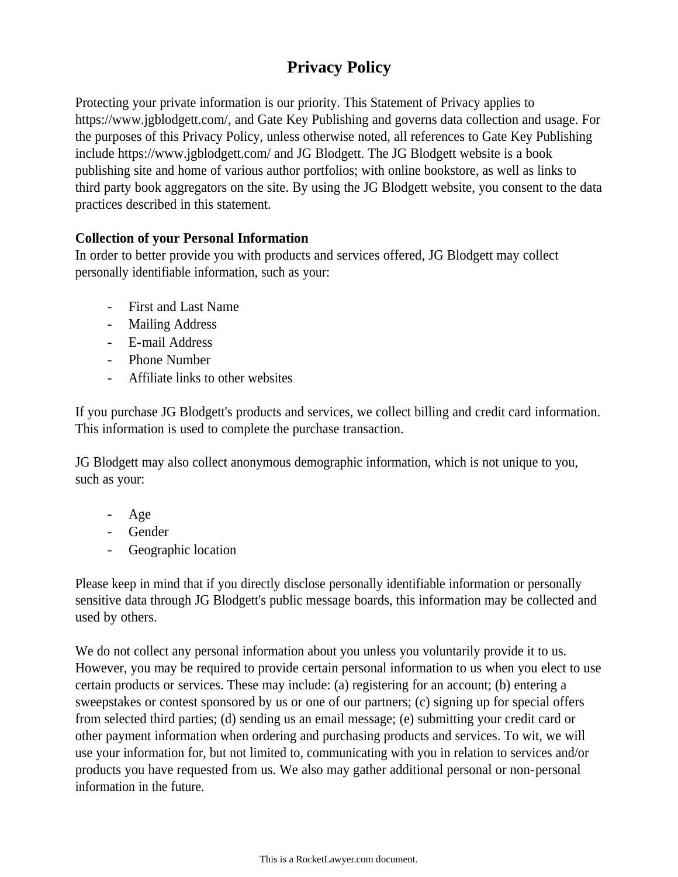# **Privacy Policy**

Protecting your private information is our priority. This Statement of Privacy applies to https://www.jgblodgett.com/, and Gate Key Publishing and governs data collection and usage. For the purposes of this Privacy Policy, unless otherwise noted, all references to Gate Key Publishing include https://www.jgblodgett.com/ and JG Blodgett. The JG Blodgett website is a book publishing site and home of various author portfolios; with online bookstore, as well as links to third party book aggregators on the site. By using the JG Blodgett website, you consent to the data practices described in this statement.

### **Collection of your Personal Information**

In order to better provide you with products and services offered, JG Blodgett may collect personally identifiable information, such as your:

- First and Last Name
- Mailing Address
- E-mail Address
- Phone Number
- Affiliate links to other websites

If you purchase JG Blodgett's products and services, we collect billing and credit card information. This information is used to complete the purchase transaction.

JG Blodgett may also collect anonymous demographic information, which is not unique to you, such as your:

- Age
- Gender
- Geographic location

Please keep in mind that if you directly disclose personally identifiable information or personally sensitive data through JG Blodgett's public message boards, this information may be collected and used by others.

We do not collect any personal information about you unless you voluntarily provide it to us. However, you may be required to provide certain personal information to us when you elect to use certain products or services. These may include: (a) registering for an account; (b) entering a sweepstakes or contest sponsored by us or one of our partners; (c) signing up for special offers from selected third parties; (d) sending us an email message; (e) submitting your credit card or other payment information when ordering and purchasing products and services. To wit, we will use your information for, but not limited to, communicating with you in relation to services and/or products you have requested from us. We also may gather additional personal or non-personal information in the future.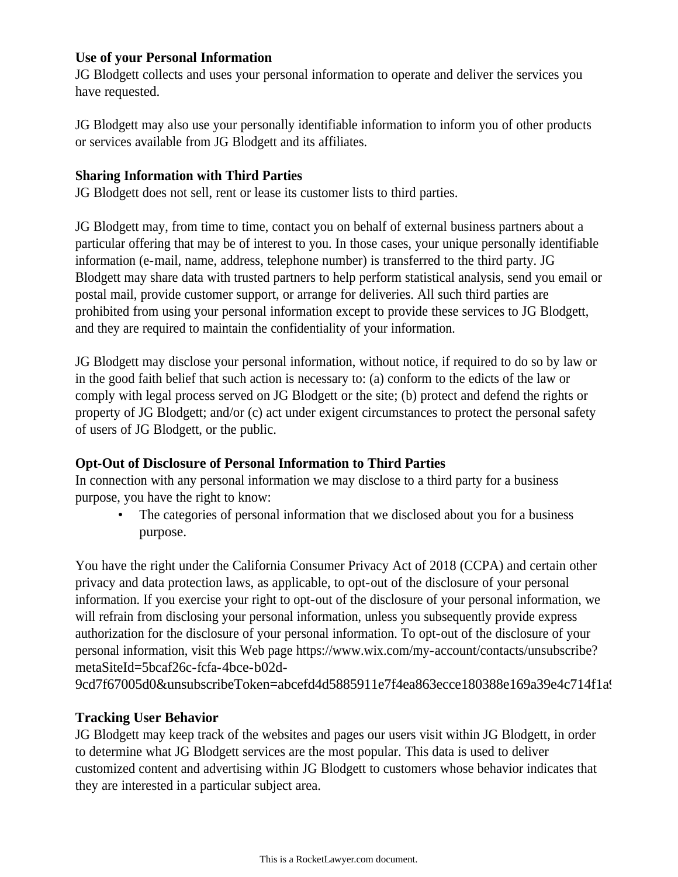### **Use of your Personal Information**

JG Blodgett collects and uses your personal information to operate and deliver the services you have requested.

JG Blodgett may also use your personally identifiable information to inform you of other products or services available from JG Blodgett and its affiliates.

# **Sharing Information with Third Parties**

JG Blodgett does not sell, rent or lease its customer lists to third parties.

JG Blodgett may, from time to time, contact you on behalf of external business partners about a particular offering that may be of interest to you. In those cases, your unique personally identifiable information (e-mail, name, address, telephone number) is transferred to the third party. JG Blodgett may share data with trusted partners to help perform statistical analysis, send you email or postal mail, provide customer support, or arrange for deliveries. All such third parties are prohibited from using your personal information except to provide these services to JG Blodgett, and they are required to maintain the confidentiality of your information.

JG Blodgett may disclose your personal information, without notice, if required to do so by law or in the good faith belief that such action is necessary to: (a) conform to the edicts of the law or comply with legal process served on JG Blodgett or the site; (b) protect and defend the rights or property of JG Blodgett; and/or (c) act under exigent circumstances to protect the personal safety of users of JG Blodgett, or the public.

# **Opt-Out of Disclosure of Personal Information to Third Parties**

In connection with any personal information we may disclose to a third party for a business purpose, you have the right to know:

The categories of personal information that we disclosed about you for a business purpose.

You have the right under the California Consumer Privacy Act of 2018 (CCPA) and certain other privacy and data protection laws, as applicable, to opt-out of the disclosure of your personal information. If you exercise your right to opt-out of the disclosure of your personal information, we will refrain from disclosing your personal information, unless you subsequently provide express authorization for the disclosure of your personal information. To opt-out of the disclosure of your personal information, visit this Web page https://www.wix.com/my-account/contacts/unsubscribe? metaSiteId=5bcaf26c-fcfa-4bce-b02d-

9cd7f67005d0&unsubscribeToken=abcefd4d5885911e7f4ea863ecce180388e169a39e4c714f1a

# **Tracking User Behavior**

JG Blodgett may keep track of the websites and pages our users visit within JG Blodgett, in order to determine what JG Blodgett services are the most popular. This data is used to deliver customized content and advertising within JG Blodgett to customers whose behavior indicates that they are interested in a particular subject area.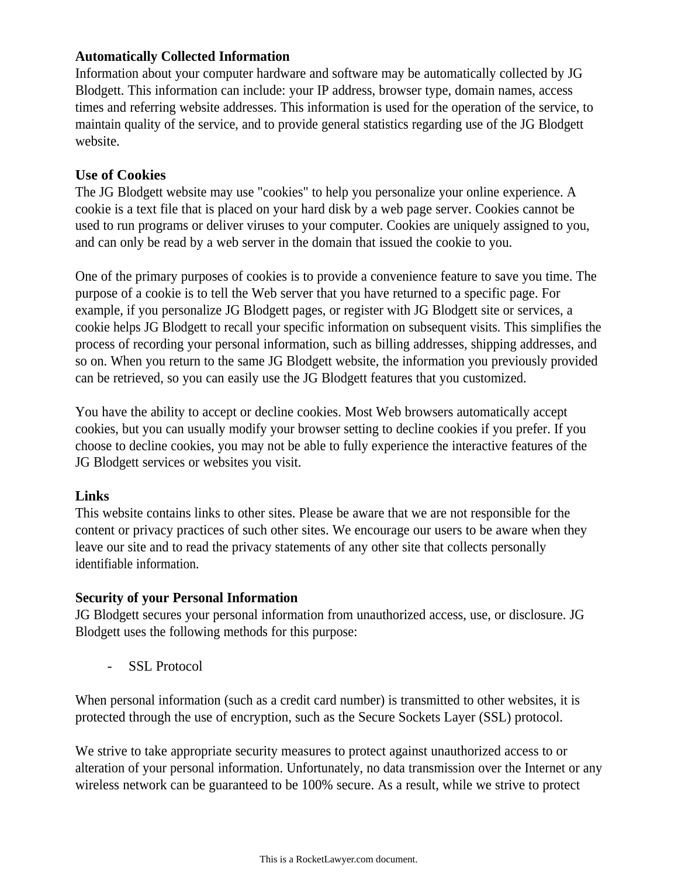### **Automatically Collected Information**

Information about your computer hardware and software may be automatically collected by JG Blodgett. This information can include: your IP address, browser type, domain names, access times and referring website addresses. This information is used for the operation of the service, to maintain quality of the service, and to provide general statistics regarding use of the JG Blodgett website.

### **Use of Cookies**

The JG Blodgett website may use "cookies" to help you personalize your online experience. A cookie is a text file that is placed on your hard disk by a web page server. Cookies cannot be used to run programs or deliver viruses to your computer. Cookies are uniquely assigned to you, and can only be read by a web server in the domain that issued the cookie to you.

One of the primary purposes of cookies is to provide a convenience feature to save you time. The purpose of a cookie is to tell the Web server that you have returned to a specific page. For example, if you personalize JG Blodgett pages, or register with JG Blodgett site or services, a cookie helps JG Blodgett to recall your specific information on subsequent visits. This simplifies the process of recording your personal information, such as billing addresses, shipping addresses, and so on. When you return to the same JG Blodgett website, the information you previously provided can be retrieved, so you can easily use the JG Blodgett features that you customized.

You have the ability to accept or decline cookies. Most Web browsers automatically accept cookies, but you can usually modify your browser setting to decline cookies if you prefer. If you choose to decline cookies, you may not be able to fully experience the interactive features of the JG Blodgett services or websites you visit.

#### **Links**

This website contains links to other sites. Please be aware that we are not responsible for the content or privacy practices of such other sites. We encourage our users to be aware when they leave our site and to read the privacy statements of any other site that collects personally identifiable information.

### **Security of your Personal Information**

JG Blodgett secures your personal information from unauthorized access, use, or disclosure. JG Blodgett uses the following methods for this purpose:

- SSL Protocol

When personal information (such as a credit card number) is transmitted to other websites, it is protected through the use of encryption, such as the Secure Sockets Layer (SSL) protocol.

We strive to take appropriate security measures to protect against unauthorized access to or alteration of your personal information. Unfortunately, no data transmission over the Internet or any wireless network can be guaranteed to be 100% secure. As a result, while we strive to protect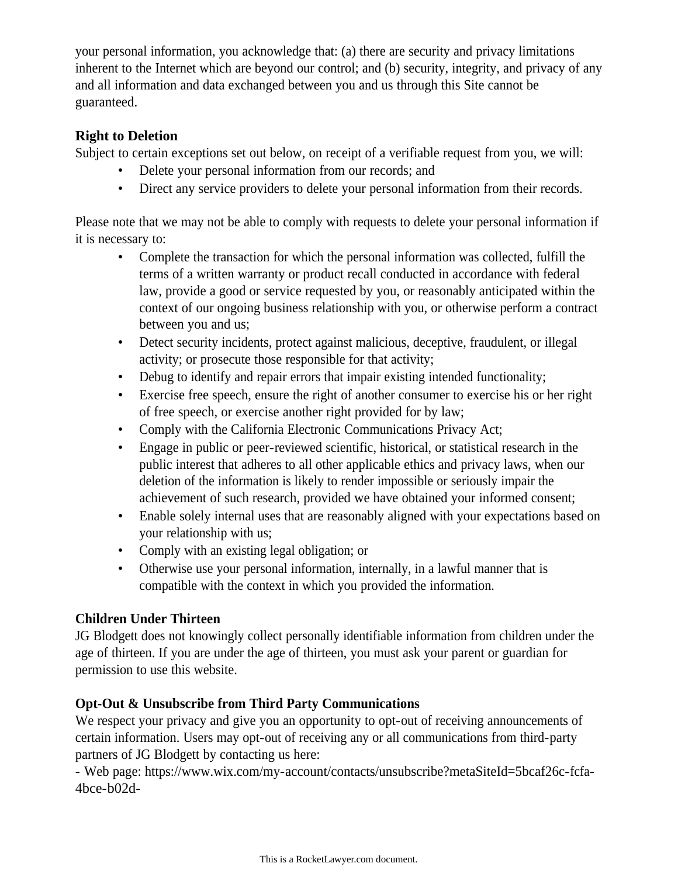your personal information, you acknowledge that: (a) there are security and privacy limitations inherent to the Internet which are beyond our control; and (b) security, integrity, and privacy of any and all information and data exchanged between you and us through this Site cannot be guaranteed.

### **Right to Deletion**

Subject to certain exceptions set out below, on receipt of a verifiable request from you, we will:

- Delete your personal information from our records; and
- Direct any service providers to delete your personal information from their records.

Please note that we may not be able to comply with requests to delete your personal information if it is necessary to:

- Complete the transaction for which the personal information was collected, fulfill the terms of a written warranty or product recall conducted in accordance with federal law, provide a good or service requested by you, or reasonably anticipated within the context of our ongoing business relationship with you, or otherwise perform a contract between you and us;
- Detect security incidents, protect against malicious, deceptive, fraudulent, or illegal activity; or prosecute those responsible for that activity;
- Debug to identify and repair errors that impair existing intended functionality;
- Exercise free speech, ensure the right of another consumer to exercise his or her right of free speech, or exercise another right provided for by law;
- Comply with the California Electronic Communications Privacy Act;
- Engage in public or peer-reviewed scientific, historical, or statistical research in the public interest that adheres to all other applicable ethics and privacy laws, when our deletion of the information is likely to render impossible or seriously impair the achievement of such research, provided we have obtained your informed consent;
- Enable solely internal uses that are reasonably aligned with your expectations based on your relationship with us;
- Comply with an existing legal obligation; or
- Otherwise use your personal information, internally, in a lawful manner that is compatible with the context in which you provided the information.

# **Children Under Thirteen**

JG Blodgett does not knowingly collect personally identifiable information from children under the age of thirteen. If you are under the age of thirteen, you must ask your parent or guardian for permission to use this website.

# **Opt-Out & Unsubscribe from Third Party Communications**

We respect your privacy and give you an opportunity to opt-out of receiving announcements of certain information. Users may opt-out of receiving any or all communications from third-party partners of JG Blodgett by contacting us here:

- Web page: https://www.wix.com/my-account/contacts/unsubscribe?metaSiteId=5bcaf26c-fcfa-4bce-b02d